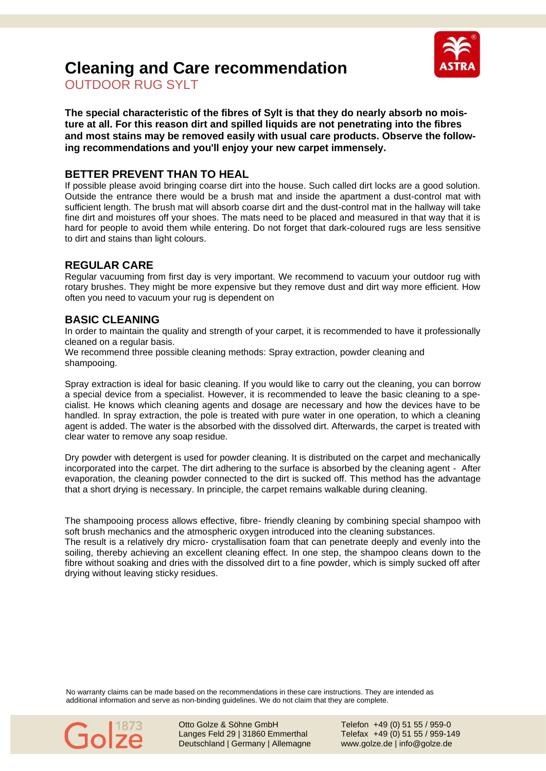

# **Cleaning and Care recommendation**

OUTDOOR RUG SYLT

**The special characteristic of the fibres of Sylt is that they do nearly absorb no moisture at all. For this reason dirt and spilled liquids are not penetrating into the fibres and most stains may be removed easily with usual care products. Observe the following recommendations and you'll enjoy your new carpet immensely.**

## **BETTER PREVENT THAN TO HEAL**

If possible please avoid bringing coarse dirt into the house. Such called dirt locks are a good solution. Outside the entrance there would be a brush mat and inside the apartment a dust-control mat with sufficient length. The brush mat will absorb coarse dirt and the dust-control mat in the hallway will take fine dirt and moistures off your shoes. The mats need to be placed and measured in that way that it is hard for people to avoid them while entering. Do not forget that dark-coloured rugs are less sensitive to dirt and stains than light colours.

## **REGULAR CARE**

Regular vacuuming from first day is very important. We recommend to vacuum your outdoor rug with rotary brushes. They might be more expensive but they remove dust and dirt way more efficient. How often you need to vacuum your rug is dependent on

### **BASIC CLEANING**

In order to maintain the quality and strength of your carpet, it is recommended to have it professionally cleaned on a regular basis.

We recommend three possible cleaning methods: Spray extraction, powder cleaning and shampooing.

Spray extraction is ideal for basic cleaning. If you would like to carry out the cleaning, you can borrow a special device from a specialist. However, it is recommended to leave the basic cleaning to a specialist. He knows which cleaning agents and dosage are necessary and how the devices have to be handled. In spray extraction, the pole is treated with pure water in one operation, to which a cleaning agent is added. The water is the absorbed with the dissolved dirt. Afterwards, the carpet is treated with clear water to remove any soap residue.

Dry powder with detergent is used for powder cleaning. It is distributed on the carpet and mechanically incorporated into the carpet. The dirt adhering to the surface is absorbed by the cleaning agent - After evaporation, the cleaning powder connected to the dirt is sucked off. This method has the advantage that a short drying is necessary. In principle, the carpet remains walkable during cleaning.

The shampooing process allows effective, fibre- friendly cleaning by combining special shampoo with soft brush mechanics and the atmospheric oxygen introduced into the cleaning substances. The result is a relatively dry micro- crystallisation foam that can penetrate deeply and evenly into the soiling, thereby achieving an excellent cleaning effect. In one step, the shampoo cleans down to the fibre without soaking and dries with the dissolved dirt to a fine powder, which is simply sucked off after drying without leaving sticky residues.

No warranty claims can be made based on the recommendations in these care instructions. They are intended as additional information and serve as non-binding guidelines. We do not claim that they are complete.



Otto Golze & Söhne GmbH Telefon +49 (0) 51 55 / 959-0 Langes Feld 29 | 31860 Emmerthal Telefax +49 (0) 51 55 / 959-149 Deutschland | Germany | Allemagne www.golze.de | info@golze.de